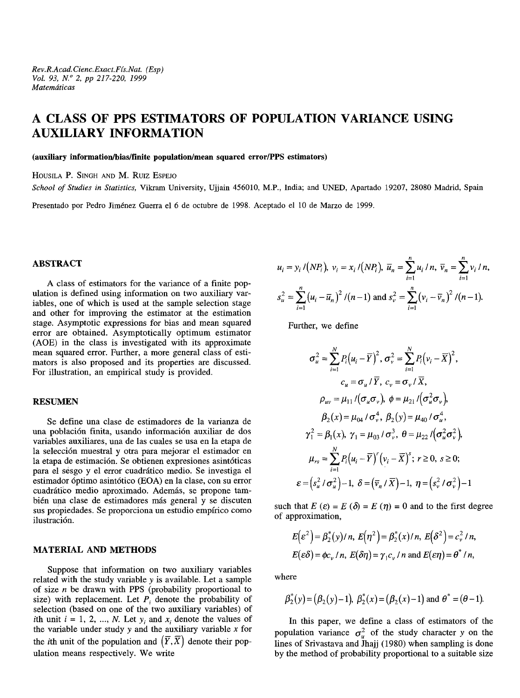# **A CLASS OF PPS ESTIMATORS OF POPULATION VARIANCE USING AUXILIARY INFORMATION**

#### **(auxiliary information/bias/finite population/mean squared error/PPS estimators)**

HOUSILA P. SINGH AND M. Ruiz ESPEJO

*School of Studies in Statistics,* Vikram University, Ujjain 456010, M.P., India; and UNED, Apartado 19207, 28080 Madrid, Spain

Presentado por Pedro Jiménez Guerra el 6 de octubre de 1998. Aceptado el 10 de Marzo de 1999.

# **ABSTRACT**

A class of estimators for the variance of a finite population is defined using information on two auxiliary variables, one of which is used at the sample selection stage and other for improving the estimator at the estimation stage. Asymptotic expressions for bias and mean squared error are obtained. Asymptotically optimum estimator (AOE) in the class is investigated with its approximate mean squared error. Further, a more general class of estimators is also proposed and its properties are discussed. For illustration, an empirical study is provided.

## **RESUMEN**

Se define una clase de estimadores de la varianza de una población finita, usando información auxiliar de dos variables auxiliares, una de las cuales se usa en la etapa de la selección muestral y otra para mejorar el estimador en la etapa de estimación. Se obtienen expresiones asintóticas para el sesgo y el error cuadrático medio. Se investiga el estimador óptimo asintótico (EOA) en la clase, con su error cuadrático medio aproximado. Además, se propone también una clase de estimadores más general y se discuten sus propiedades. Se proporciona un estudio empírico como ilustración.

## **MATERIAL AND METHODS**

Suppose that information on two auxiliary variables related with the study variable *y* is available. Let a sample of size *n* be drawn with PPS (probability proportional to size) with replacement. Let  $P_i$  denote the probability of selection (based on one of the two auxiliary variables) of *i*th unit  $i = 1, 2, ..., N$ . Let  $y_i$  and  $x_i$  denote the values of the variable under study *y* and the auxiliary variable *x* for the *i*th unit of the population and  $(\overline{Y}, \overline{X})$  denote their population means respectively. We write

$$
u_i = y_i / (NP_i), v_i = x_i / (NP_i), \ \overline{u}_n = \sum_{i=1}^n u_i / n, \ \overline{v}_n = \sum_{i=1}^n v_i / n,
$$
  

$$
s_u^2 = \sum_{i=1}^n (u_i - \overline{u}_n)^2 / (n-1) \text{ and } s_v^2 = \sum_{i=1}^n (v_i - \overline{v}_n)^2 / (n-1).
$$

Further, we define

$$
\sigma_u^2 = \sum_{i=1}^N P_i (u_i - \overline{Y})^2, \sigma_v^2 = \sum_{i=1}^N P_i (v_i - \overline{X})^2,
$$
  
\n
$$
c_u = \sigma_u / \overline{Y}, c_v = \sigma_v / \overline{X},
$$
  
\n
$$
\rho_{uv} = \mu_{11} / (\sigma_u \sigma_v), \ \phi = \mu_{21} / (\sigma_u^2 \sigma_v),
$$
  
\n
$$
\beta_2(x) = \mu_{04} / \sigma_v^4, \ \beta_2(y) = \mu_{40} / \sigma_u^4,
$$
  
\n
$$
\gamma_1^2 = \beta_1(x), \ \gamma_1 = \mu_{03} / \sigma_v^3, \ \theta = \mu_{22} / (\sigma_u^2 \sigma_v^2),
$$
  
\n
$$
\mu_{rs} = \sum_{i=1}^N P_i (u_i - \overline{Y})^r (v_i - \overline{X})^s; \ r \ge 0, \ s \ge 0;
$$
  
\n
$$
\varepsilon = (s_u^2 / \sigma_u^2) - 1, \ \delta = (\overline{v}_n / \overline{X}) - 1, \ \eta = (s_v^2 / \sigma_v^2) - 1
$$

such that  $E(\varepsilon) = E(\delta) = E(\eta) = 0$  and to the first degree of approximation,

$$
E(\varepsilon^2) = \beta_2^*(y)/n, E(\eta^2) = \beta_2^*(x)/n, E(\delta^2) = c_v^2/n,
$$
  

$$
E(\varepsilon \delta) = \phi c_v/n, E(\delta \eta) = \gamma_1 c_v/n \text{ and } E(\varepsilon \eta) = \theta^* / n,
$$

where

$$
\beta_2^*(y) = (\beta_2(y)-1), \ \beta_2^*(x) = (\beta_2(x)-1)
$$
 and  $\theta^* = (\theta-1)$ .

In this paper, we define a class of estimators of the population variance  $\sigma_u^2$  of the study character y on the lines of Srivastava and Jhajj (1980) when sampling is done by the method of probability proportional to a suitable size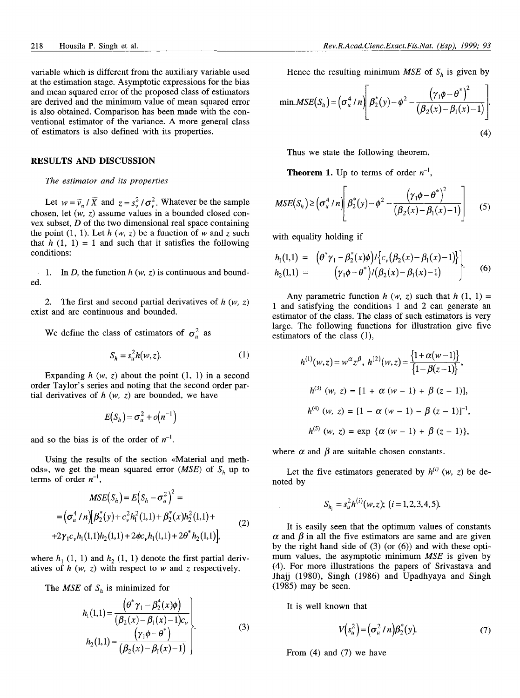variable which is different from the auxiliary variable used at the estimation stage. Asymptotic expressions for the bias and mean squared error of the proposed class of estimators are derived and the minimum value of mean squared error is also obtained. Comparison has been made with the conventional estimator of the variance. A more general class of estimators is also defined with its properties.

#### **RESULTS AND DISCUSSION**

#### *The estimator and its properties*

Let  $w = \overline{v}_n / \overline{X}$  and  $z = s_v^2 / \sigma_v^2$ . Whatever be the sample chosen, let *(w, z)* assume values in a bounded closed convex subset, *D* of the two dimensional real space containing the point  $(1, 1)$ . Let  $h(w, z)$  be a function of w and z such that  $h(1, 1) = 1$  and such that it satisfies the following conditions:

1. In D, the function  $h(w, z)$  is continuous and bound- $\mathcal{L}$ ed.

2. The first and second partial derivatives of *h (w, z)* exist and are continuous and bounded.

We define the class of estimators of  $\sigma_u^2$  as

$$
S_h = s_u^2 h(w, z). \tag{1}
$$

Expanding  $h(w, z)$  about the point  $(1, 1)$  in a second order Taylor's series and noting that the second order partial derivatives of *h (w, z)* are bounded, we have

$$
E(S_h) = \sigma_u^2 + o(n^{-1})
$$

and so the bias is of the order of  $n^{-1}$ .

Using the results of the section «Material and methods», we get the mean squared error *(MSE)* of *Sh* up to terms of order  $n^{-1}$ ,

$$
MSE(S_h) = E(S_h - \sigma_u^2)^2 =
$$
  
=  $(\sigma_u^4/n)[\beta_2^*(y) + c_v^2 h_1^2(1,1) + \beta_2^*(x)h_2^2(1,1) +$   
+ $2\gamma_1 c_v h_1(1,1)h_2(1,1) + 2\phi c_v h_1(1,1) + 2\theta^* h_2(1,1)],$  (2)

where  $h_1$  (1, 1) and  $h_2$  (1, 1) denote the first partial derivatives of *h (w,* z) with respect to *w* and *z* respectively.

The *MSE* of *S,,* is minimized for

$$
h_1(1,1) = \frac{\left(\theta^* \gamma_1 - \beta_2^*(x)\phi\right)}{\left(\beta_2(x) - \beta_1(x) - 1\right)c_v} \left\}
$$
  
\n
$$
h_2(1,1) = \frac{\left(\gamma_1\phi - \theta^*\right)}{\left(\beta_2(x) - \beta_1(x) - 1\right)}\right\}
$$
 (3)

Hence the resulting minimum *MSE* of  $S_h$  is given by

min.MSE(S<sub>h</sub>) = 
$$
(\sigma_u^4/n) \left[ \beta_2^*(y) - \phi^2 - \frac{(\gamma_1 \phi - \theta^*)^2}{(\beta_2(x) - \beta_1(x) - 1)} \right]
$$
 (4)

Thus we state the following theorem.

**Theorem 1.** Up to terms of order  $n^{-1}$ ,

$$
MSE(S_h) \geq \left(\sigma_u^4 / n\right) \left(\beta_2^*(y) - \phi^2 - \frac{\left(\gamma_1 \phi - \theta^*\right)^2}{\left(\beta_2(x) - \beta_1(x) - 1\right)}\right) \tag{5}
$$

with equality holding if

$$
h_1(1,1) = (\theta^* \gamma_1 - \beta_2^*(x)\phi) / \{c_v(\beta_2(x) - \beta_1(x) - 1)\} \Big| h_2(1,1) = (\gamma_1 \phi - \theta^*) / (\beta_2(x) - \beta_1(x) - 1)
$$
 (6)

Any parametric function  $h(w, z)$  such that  $h(1, 1) =$ 1 and satisfying the conditions 1 and 2 can generate an estimator of the class. The class of such estimators is very large. The following functions for illustration give five estimators of the class (1),

ors of the class (1),  
\n
$$
h^{(1)}(w, z) = w^{\alpha} z^{\beta}, \quad h^{(2)}(w, z) = \frac{\{1 + \alpha(w - 1)\}}{\{1 - \beta(z - 1)\}},
$$
\n
$$
h^{(3)}(w, z) = [1 + \alpha(w - 1) + \beta(z - 1)],
$$
\n
$$
h^{(4)}(w, z) = [1 - \alpha(w - 1) - \beta(z - 1)]^{-1},
$$
\n
$$
h^{(5)}(w, z) = \exp{\{\alpha(w - 1) + \beta(z - 1)\}},
$$

where  $\alpha$  and  $\beta$  are suitable chosen constants.

Let the five estimators generated by  $h^{(i)}(w, z)$  be denoted by

$$
S_{h_i} = s_u^2 h^{(i)}(w, z); \ (i = 1, 2, 3, 4, 5).
$$

It is easily seen that the optimum values of constants  $\alpha$  and  $\beta$  in all the five estimators are same and are given by the right hand side of (3) (or (6)) and with these optimum values, the asymptotic minimum *MSE* is given by (4). For more illustrations the papers of Srivastava and Jhajj (1980), Singh (1986) and Upadhyaya and Singh (1985) may be seen.

It is well known that

$$
V(su2) = (\sigma_u^2/n)\beta_2^*(y).
$$
 (7)

From (4) and (7) we have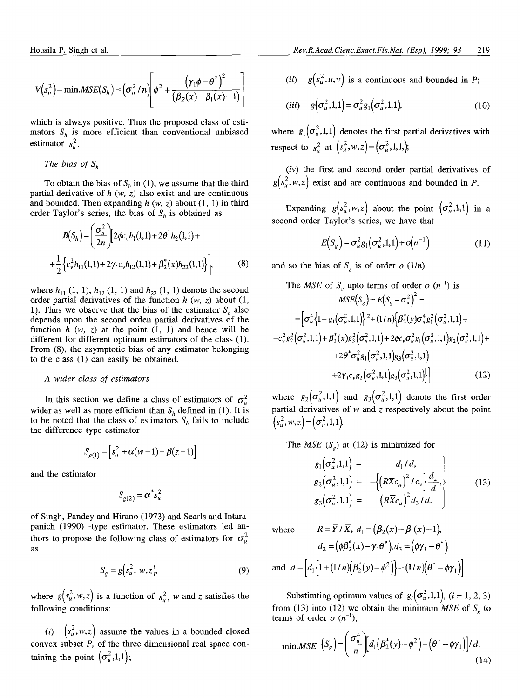$$
V(s_u^2) - \min.MSE(S_h) = \left(\sigma_u^2 / n\right) \left(\phi^2 + \frac{\left(\gamma_1 \phi - \theta^*\right)^2}{\left(\beta_2 (x) - \beta_1 (x) - 1\right)}\right)
$$

which is always positive. Thus the proposed class of estimators  $S_h$  is more efficient than conventional unbiased estimator  $s_u^2$ .

The bias of 
$$
S_h
$$

To obtain the bias of  $S_h$  in (1), we assume that the third partial derivative of  $h$   $(w, z)$  also exist and are continuous and bounded. Then expanding  $h(w, z)$  about  $(1, 1)$  in third order Taylor's series, the bias of  $S_h$  is obtained as

$$
B(S_h) = \left(\frac{\sigma_u^2}{2n}\right) \left[2\phi c_v h_1(1,1) + 2\theta^* h_2(1,1) + \frac{1}{2} \left\{c_v^2 h_{11}(1,1) + 2\gamma_1 c_v h_{12}(1,1) + \beta_2^*(x) h_{22}(1,1)\right\}\right],
$$
(8)

where  $h_{11}$  (1, 1),  $h_{12}$  (1, 1) and  $h_{22}$  (1, 1) denote the second order partial derivatives of the function *h (w, z)* about (l, 1). Thus we observe that the bias of the estimator  $S_h$  also depends upon the second orden partial derivatives of the function  $h(w, z)$  at the point  $(1, 1)$  and hence will be different for different optimum estimators of the class (1). From (8), the asymptotic bias of any estimator belonging to the class (1) can easily be obtained.

# A wider class of estimators

In this section we define a class of estimators of  $\sigma_u^2$ wider as well as more efficient than  $S_h$  defined in (1). It is to be noted that the class of estimators  $S_h$  fails to include the difference type estimator

$$
S_{g(1)} = [s_u^2 + \alpha(w-1) + \beta(z-1)]
$$

and the estimator

$$
S_{g(2)} = \alpha^* s_u^2
$$

of Singh, Pandey and Hirano (1973) and Searls and Intarapanich (1990) -type estimator. These estimators led authors to propose the following class of estimators for  $\sigma_u^2$ as

$$
S_g = g(s_u^2, w, z),\tag{9}
$$

where  $g(s_u^2, w, z)$  is a function of  $s_u^2$ , w and *z* satisfies the following conditions:

(i)  $(s_u^2, w, z)$  assume the values in a bounded closed convex subset *P,* of the three dimensional real space containing the point  $(\sigma_u^2,1,1);$ 

(*ii*)  $g(s_u^2, u, v)$  is a continuous and bounded in *P*;

$$
(iii) \quad g\left(\sigma_u^2, 1, 1\right) = \sigma_u^2 g_1\left(\sigma_u^2, 1, 1\right),\tag{10}
$$

where  $g_1(\sigma^2_u, 1,1)$  denotes the first partial derivatives with respect to  $s_u^2$  at  $(s_u^2, w, z) = (\sigma_u^2, 1, 1)$ ;

*(iv)* the first and second order partial derivatives of  $g(s_u^2, w, z)$  exist and are continuous and bounded in *P*.

Expanding  $g(s_u^2, w, z)$  about the point  $(\sigma_u^2, 1, 1)$  in a second order Taylor's series, we have that

$$
E(S_g) = \sigma_u^2 g_1(\sigma_u^2, 1, 1) + o(n^{-1})
$$
\n(11)

and so the bias of  $S_g$  is of order  $o(1/n)$ .

The MSE of 
$$
S_g
$$
 upto terms of order  $o$   $(n^{-1})$  is  
\n
$$
MSE(S_g) = E(S_g - \sigma_u^2)^2 =
$$
\n
$$
= [\sigma_u^4 \{1 - g_1(\sigma_u^2, 1, 1)\}^2 + (1/n) \{\beta_2^*(y) \sigma_u^4 g_1^2(\sigma_u^2, 1, 1) +
$$
\n
$$
+ c_v^2 g_2^2(\sigma_u^2, 1, 1) + \beta_2^*(x) g_3^2(\sigma_u^2, 1, 1) + 2 \phi c_v \sigma_u^2 g_1(\sigma_u^2, 1, 1) g_2(\sigma_u^2, 1, 1) +
$$
\n
$$
+ 2 \theta^* \sigma_u^2 g_1(\sigma_u^2, 1, 1) g_3(\sigma_u^2, 1, 1) +
$$
\n
$$
+ 2 \gamma_1 c_v g_2(\sigma_u^2, 1, 1) g_3(\sigma_u^2, 1, 1)] \}
$$
\n(12)

where  $g_2(\sigma_u^2, 1,1)$  and  $g_3(\sigma_u^2, 1,1)$  denote the first order partial derivatives of w and *z* respectively about the point  $(s_u^2, w, z) = (\sigma_u^2, 1, 1).$ 

The *MSE*  $(S_g)$  at (12) is minimized for

$$
g_1(\sigma_u^2, 1, 1) = d_1/d,g_2(\sigma_u^2, 1, 1) = -\left\{ (R\overline{X}c_u)^2 / c_v \right\} \frac{d_2}{d},g_3(\sigma_u^2, 1, 1) = (R\overline{X}c_u)^2 d_3/d.
$$
 (13)

where 
$$
R = \overline{Y}/\overline{X}, d_1 = (\beta_2(x) - \beta_1(x) - 1),
$$

$$
d_2 = (\phi\beta_2^*(x) - \gamma_1\theta^*)d_3 = (\phi\gamma_1 - \theta^*)
$$
and 
$$
d = [d_1\{1 + (1/n)(\beta_2^*(y) - \phi^2)\} - (1/n)(\theta^* - \phi\gamma_1)].
$$

Substituting optimum values of  $g_i(\sigma_u^2,1,1)$ ,  $(i = 1, 2, 3)$ from (13) into (12) we obtain the minimum *MSE* of  $S<sub>g</sub>$  to terms of order  $o(n^{-1})$ ,

$$
\min.MSE\left(S_{g}\right) = \left(\frac{\sigma_{u}^{4}}{n}\right) \left[d_{1}\left(\beta_{2}^{*}(y) - \phi^{2}\right) - \left(\theta^{*} - \phi\gamma_{1}\right)\right]/d.\tag{14}
$$